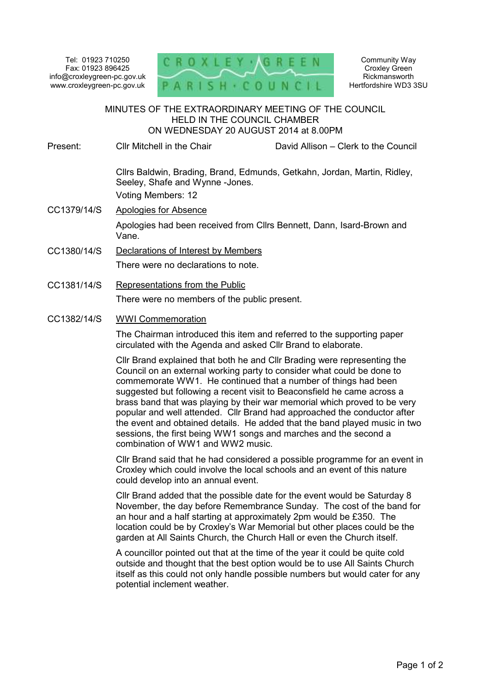Tel: 01923 710250 Fax: 01923 896425 info@croxleygreen-pc.gov.uk www.croxleygreen-pc.gov.uk



Community Way Croxley Green Rickmansworth Hertfordshire WD3 3SU

## MINUTES OF THE EXTRAORDINARY MEETING OF THE COUNCIL HELD IN THE COUNCIL CHAMBER ON WEDNESDAY 20 AUGUST 2014 at 8.00PM Ĭ

## Present: Cllr Mitchell in the Chair David Allison – Clerk to the Council

Cllrs Baldwin, Brading, Brand, Edmunds, Getkahn, Jordan, Martin, Ridley, Seeley, Shafe and Wynne -Jones. Voting Members: 12

- CC1379/14/S Apologies for Absence Apologies had been received from Cllrs Bennett, Dann, Isard-Brown and Vane.
- CC1380/14/S Declarations of Interest by Members There were no declarations to note.
- CC1381/14/S Representations from the Public

There were no members of the public present.

CC1382/14/S WWI Commemoration

The Chairman introduced this item and referred to the supporting paper circulated with the Agenda and asked Cllr Brand to elaborate.

Cllr Brand explained that both he and Cllr Brading were representing the Council on an external working party to consider what could be done to commemorate WW1. He continued that a number of things had been suggested but following a recent visit to Beaconsfield he came across a brass band that was playing by their war memorial which proved to be very popular and well attended. Cllr Brand had approached the conductor after the event and obtained details. He added that the band played music in two sessions, the first being WW1 songs and marches and the second a combination of WW1 and WW2 music.

Cllr Brand said that he had considered a possible programme for an event in Croxley which could involve the local schools and an event of this nature could develop into an annual event.

Cllr Brand added that the possible date for the event would be Saturday 8 November, the day before Remembrance Sunday. The cost of the band for an hour and a half starting at approximately 2pm would be £350. The location could be by Croxley's War Memorial but other places could be the garden at All Saints Church, the Church Hall or even the Church itself.

A councillor pointed out that at the time of the year it could be quite cold outside and thought that the best option would be to use All Saints Church itself as this could not only handle possible numbers but would cater for any potential inclement weather.